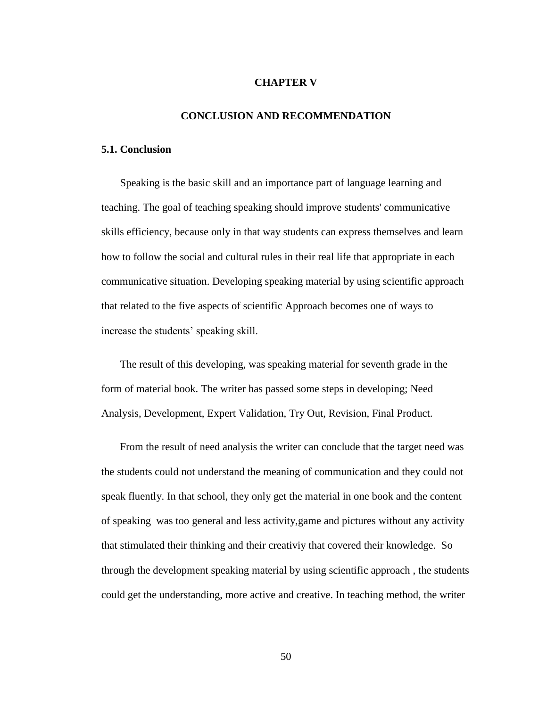## **CHAPTER V**

## **CONCLUSION AND RECOMMENDATION**

## **5.1. Conclusion**

 Speaking is the basic skill and an importance part of language learning and teaching. The goal of teaching speaking should improve students' communicative skills efficiency, because only in that way students can express themselves and learn how to follow the social and cultural rules in their real life that appropriate in each communicative situation. Developing speaking material by using scientific approach that related to the five aspects of scientific Approach becomes one of ways to increase the students' speaking skill.

 The result of this developing, was speaking material for seventh grade in the form of material book. The writer has passed some steps in developing; Need Analysis, Development, Expert Validation, Try Out, Revision, Final Product.

 From the result of need analysis the writer can conclude that the target need was the students could not understand the meaning of communication and they could not speak fluently. In that school, they only get the material in one book and the content of speaking was too general and less activity,game and pictures without any activity that stimulated their thinking and their creativiy that covered their knowledge. So through the development speaking material by using scientific approach , the students could get the understanding, more active and creative. In teaching method, the writer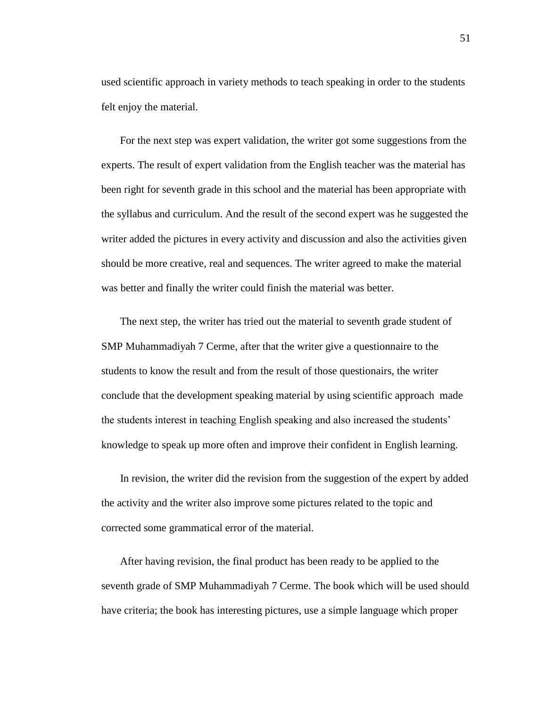used scientific approach in variety methods to teach speaking in order to the students felt enjoy the material.

 For the next step was expert validation, the writer got some suggestions from the experts. The result of expert validation from the English teacher was the material has been right for seventh grade in this school and the material has been appropriate with the syllabus and curriculum. And the result of the second expert was he suggested the writer added the pictures in every activity and discussion and also the activities given should be more creative, real and sequences. The writer agreed to make the material was better and finally the writer could finish the material was better.

 The next step, the writer has tried out the material to seventh grade student of SMP Muhammadiyah 7 Cerme, after that the writer give a questionnaire to the students to know the result and from the result of those questionairs, the writer conclude that the development speaking material by using scientific approach made the students interest in teaching English speaking and also increased the students' knowledge to speak up more often and improve their confident in English learning.

 In revision, the writer did the revision from the suggestion of the expert by added the activity and the writer also improve some pictures related to the topic and corrected some grammatical error of the material.

 After having revision, the final product has been ready to be applied to the seventh grade of SMP Muhammadiyah 7 Cerme. The book which will be used should have criteria; the book has interesting pictures, use a simple language which proper